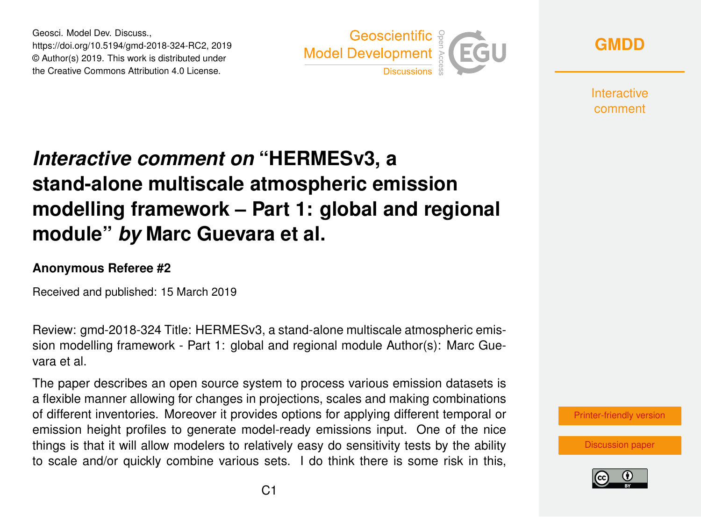Geosci. Model Dev. Discuss., https://doi.org/10.5194/gmd-2018-324-RC2, 2019 © Author(s) 2019. This work is distributed under the Creative Commons Attribution 4.0 License.



**[GMDD](https://www.geosci-model-dev-discuss.net/)**

**Interactive** comment

## *Interactive comment on* **"HERMESv3, a stand-alone multiscale atmospheric emission modelling framework – Part 1: global and regional module"** *by* **Marc Guevara et al.**

## **Anonymous Referee #2**

Received and published: 15 March 2019

Review: gmd-2018-324 Title: HERMESv3, a stand-alone multiscale atmospheric emission modelling framework - Part 1: global and regional module Author(s): Marc Guevara et al.

The paper describes an open source system to process various emission datasets is a flexible manner allowing for changes in projections, scales and making combinations of different inventories. Moreover it provides options for applying different temporal or emission height profiles to generate model-ready emissions input. One of the nice things is that it will allow modelers to relatively easy do sensitivity tests by the ability to scale and/or quickly combine various sets. I do think there is some risk in this,

[Printer-friendly version](https://www.geosci-model-dev-discuss.net/gmd-2018-324/gmd-2018-324-RC2-print.pdf)

[Discussion paper](https://www.geosci-model-dev-discuss.net/gmd-2018-324)

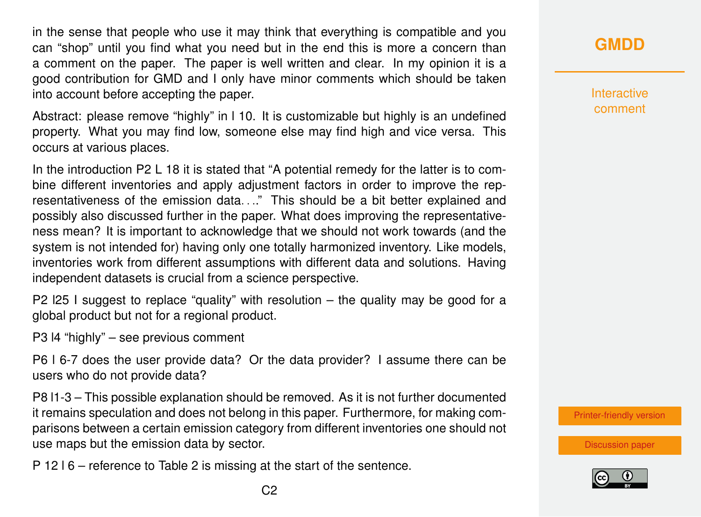in the sense that people who use it may think that everything is compatible and you can "shop" until you find what you need but in the end this is more a concern than a comment on the paper. The paper is well written and clear. In my opinion it is a good contribution for GMD and I only have minor comments which should be taken into account before accepting the paper.

Abstract: please remove "highly" in l 10. It is customizable but highly is an undefined property. What you may find low, someone else may find high and vice versa. This occurs at various places.

In the introduction P2 L 18 it is stated that "A potential remedy for the latter is to combine different inventories and apply adjustment factors in order to improve the representativeness of the emission data. . .." This should be a bit better explained and possibly also discussed further in the paper. What does improving the representativeness mean? It is important to acknowledge that we should not work towards (and the system is not intended for) having only one totally harmonized inventory. Like models, inventories work from different assumptions with different data and solutions. Having independent datasets is crucial from a science perspective.

P2 l25 I suggest to replace "quality" with resolution – the quality may be good for a global product but not for a regional product.

P3 l4 "highly" – see previous comment

P6 l 6-7 does the user provide data? Or the data provider? I assume there can be users who do not provide data?

P8 l1-3 – This possible explanation should be removed. As it is not further documented it remains speculation and does not belong in this paper. Furthermore, for making comparisons between a certain emission category from different inventories one should not use maps but the emission data by sector.

P 12 l 6 – reference to Table 2 is missing at the start of the sentence.

**[GMDD](https://www.geosci-model-dev-discuss.net/)**

**Interactive** comment

[Printer-friendly version](https://www.geosci-model-dev-discuss.net/gmd-2018-324/gmd-2018-324-RC2-print.pdf)

[Discussion paper](https://www.geosci-model-dev-discuss.net/gmd-2018-324)